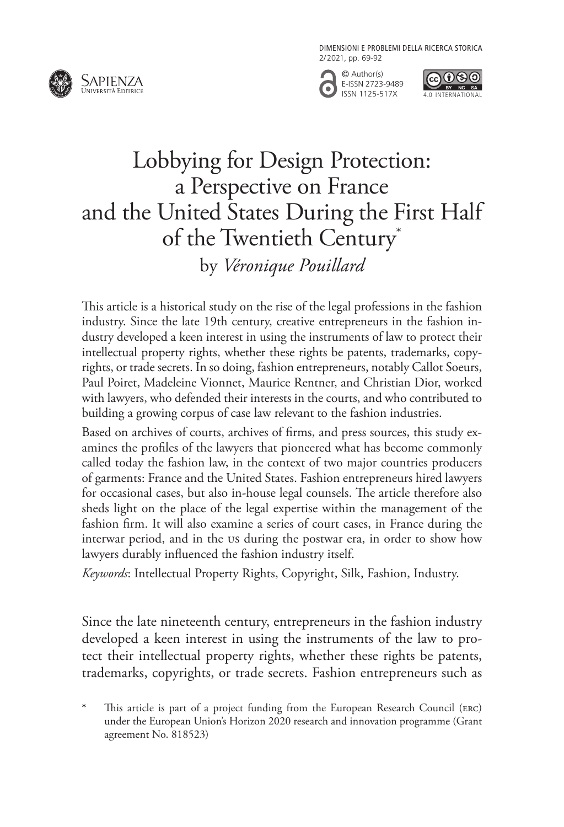DIMENSIONI E PROBLEMI DELLA RICERCA STORICA 2/2021, pp. 69-92







# Lobbying for Design Protection: a Perspective on France and the United States During the First Half of the Twentieth Century\* by *Véronique Pouillard*

This article is a historical study on the rise of the legal professions in the fashion industry. Since the late 19th century, creative entrepreneurs in the fashion industry developed a keen interest in using the instruments of law to protect their intellectual property rights, whether these rights be patents, trademarks, copyrights, or trade secrets. In so doing, fashion entrepreneurs, notably Callot Soeurs, Paul Poiret, Madeleine Vionnet, Maurice Rentner, and Christian Dior, worked with lawyers, who defended their interests in the courts, and who contributed to building a growing corpus of case law relevant to the fashion industries.

Based on archives of courts, archives of firms, and press sources, this study examines the profiles of the lawyers that pioneered what has become commonly called today the fashion law, in the context of two major countries producers of garments: France and the United States. Fashion entrepreneurs hired lawyers for occasional cases, but also in-house legal counsels. The article therefore also sheds light on the place of the legal expertise within the management of the fashion firm. It will also examine a series of court cases, in France during the interwar period, and in the US during the postwar era, in order to show how lawyers durably influenced the fashion industry itself.

*Keywords*: Intellectual Property Rights, Copyright, Silk, Fashion, Industry.

Since the late nineteenth century, entrepreneurs in the fashion industry developed a keen interest in using the instruments of the law to protect their intellectual property rights, whether these rights be patents, trademarks, copyrights, or trade secrets. Fashion entrepreneurs such as

**<sup>\*</sup>** This article is part of a project funding from the European Research Council (ERC) under the European Union's Horizon 2020 research and innovation programme (Grant agreement No. 818523)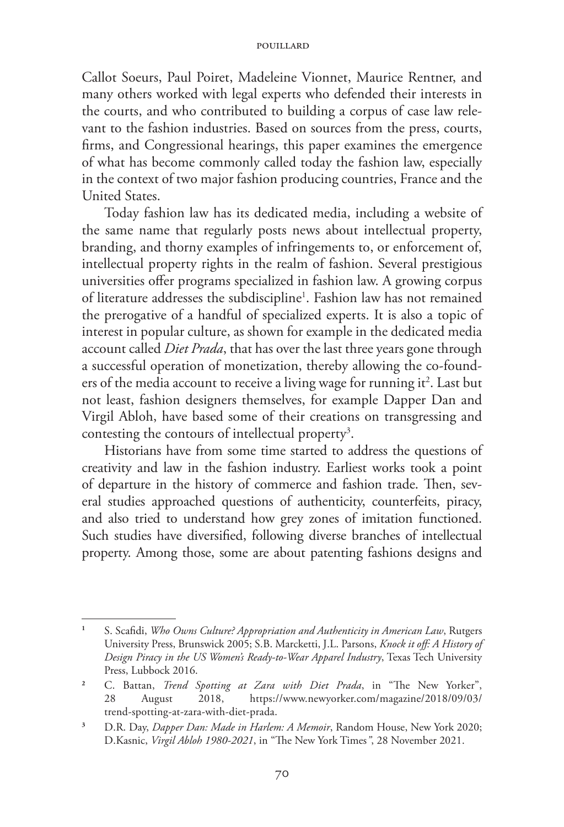Callot Soeurs, Paul Poiret, Madeleine Vionnet, Maurice Rentner, and many others worked with legal experts who defended their interests in the courts, and who contributed to building a corpus of case law relevant to the fashion industries. Based on sources from the press, courts, firms, and Congressional hearings, this paper examines the emergence of what has become commonly called today the fashion law, especially in the context of two major fashion producing countries, France and the United States.

Today fashion law has its dedicated media, including a website of the same name that regularly posts news about intellectual property, branding, and thorny examples of infringements to, or enforcement of, intellectual property rights in the realm of fashion. Several prestigious universities offer programs specialized in fashion law. A growing corpus of literature addresses the subdiscipline<sup>1</sup>. Fashion law has not remained the prerogative of a handful of specialized experts. It is also a topic of interest in popular culture, as shown for example in the dedicated media account called *Diet Prada*, that has over the last three years gone through a successful operation of monetization, thereby allowing the co-founders of the media account to receive a living wage for running it<sup>2</sup>. Last but not least, fashion designers themselves, for example Dapper Dan and Virgil Abloh, have based some of their creations on transgressing and contesting the contours of intellectual property<sup>3</sup>.

Historians have from some time started to address the questions of creativity and law in the fashion industry. Earliest works took a point of departure in the history of commerce and fashion trade. Then, several studies approached questions of authenticity, counterfeits, piracy, and also tried to understand how grey zones of imitation functioned. Such studies have diversified, following diverse branches of intellectual property. Among those, some are about patenting fashions designs and

**<sup>1</sup>** S. Scafidi, *Who Owns Culture? Appropriation and Authenticity in American Law*, Rutgers University Press, Brunswick 2005; S.B. Marcketti, J.L. Parsons, *Knock it off: A History of Design Piracy in the US Women's Ready-to-Wear Apparel Industry*, Texas Tech University Press, Lubbock 2016.

**<sup>2</sup>** C. Battan, *Trend Spotting at Zara with Diet Prada*, in "The New Yorker", 28 August 2018, https://www.newyorker.com/magazine/2018/09/03/ trend-spotting-at-zara-with-diet-prada.

**<sup>3</sup>** D.R. Day, *Dapper Dan: Made in Harlem: A Memoir*, Random House, New York 2020; D.Kasnic, *Virgil Abloh 1980-2021*, in "The New York Times*"*, 28 November 2021.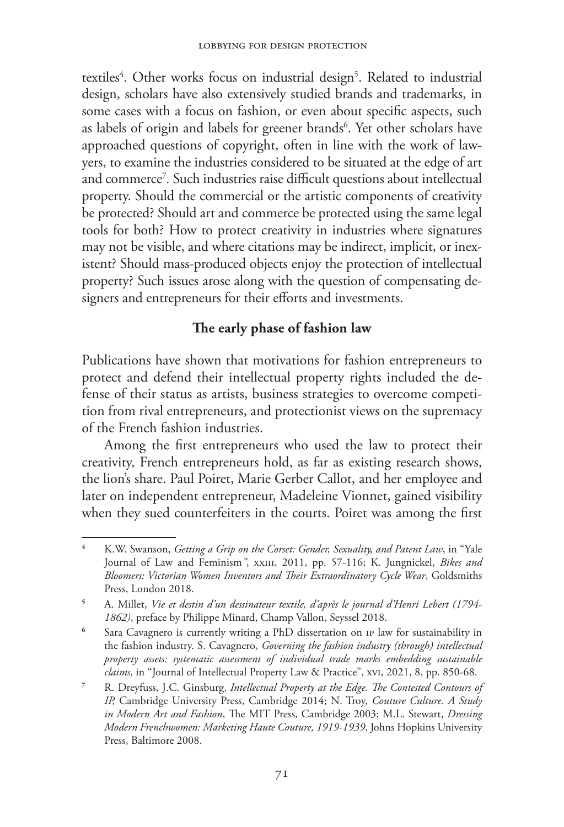textiles<sup>4</sup>. Other works focus on industrial design<sup>5</sup>. Related to industrial design, scholars have also extensively studied brands and trademarks, in some cases with a focus on fashion, or even about specific aspects, such as labels of origin and labels for greener brands<sup>6</sup>. Yet other scholars have approached questions of copyright, often in line with the work of lawyers, to examine the industries considered to be situated at the edge of art and commerce7 *.* Such industries raise difficult questions about intellectual property. Should the commercial or the artistic components of creativity be protected? Should art and commerce be protected using the same legal tools for both? How to protect creativity in industries where signatures may not be visible, and where citations may be indirect, implicit, or inexistent? Should mass-produced objects enjoy the protection of intellectual property? Such issues arose along with the question of compensating designers and entrepreneurs for their efforts and investments.

# **The early phase of fashion law**

Publications have shown that motivations for fashion entrepreneurs to protect and defend their intellectual property rights included the defense of their status as artists, business strategies to overcome competition from rival entrepreneurs, and protectionist views on the supremacy of the French fashion industries.

Among the first entrepreneurs who used the law to protect their creativity, French entrepreneurs hold, as far as existing research shows, the lion's share. Paul Poiret, Marie Gerber Callot, and her employee and later on independent entrepreneur, Madeleine Vionnet, gained visibility when they sued counterfeiters in the courts. Poiret was among the first

**<sup>4</sup>** K.W. Swanson, *Getting a Grip on the Corset: Gender, Sexuality, and Patent Law*, in "Yale Journal of Law and Feminism", xxIII, 2011, pp. 57-116; K. Jungnickel, *Bikes and Bloomers: Victorian Women Inventors and Their Extraordinatory Cycle Wear*, Goldsmiths Press, London 2018.

**<sup>5</sup>** A. Millet, *Vie et destin d'un dessinateur textile, d'après le journal d'Henri Lebert (1794- 1862)*, preface by Philippe Minard, Champ Vallon, Seyssel 2018.

**<sup>6</sup>** Sara Cavagnero is currently writing a PhD dissertation on IP law for sustainability in the fashion industry. S. Cavagnero, *Governing the fashion industry (through) intellectual property assets: systematic assessment of individual trade marks embedding sustainable claims*, in "Journal of Intellectual Property Law & Practice", xvi, 2021, 8, pp. 850-68.

**<sup>7</sup>** R. Dreyfuss, J.C. Ginsburg, *Intellectual Property at the Edge. The Contested Contours of IP,* Cambridge University Press, Cambridge 2014; N. Troy, *Couture Culture. A Study in Modern Art and Fashion*, The MIT Press, Cambridge 2003; M.L. Stewart, *Dressing Modern Frenchwomen: Marketing Haute Couture, 1919-1939*, Johns Hopkins University Press, Baltimore 2008.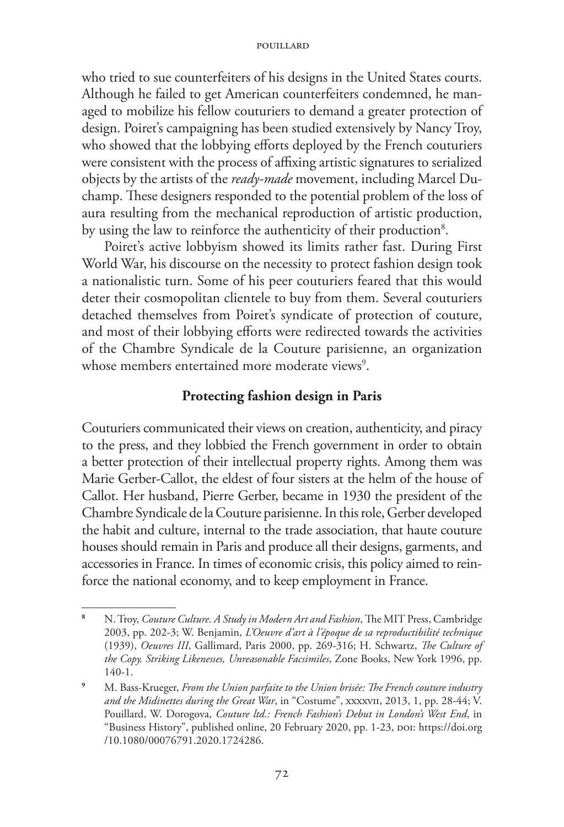who tried to sue counterfeiters of his designs in the United States courts. Although he failed to get American counterfeiters condemned, he managed to mobilize his fellow couturiers to demand a greater protection of design. Poiret's campaigning has been studied extensively by Nancy Troy, who showed that the lobbying efforts deployed by the French couturiers were consistent with the process of affixing artistic signatures to serialized objects by the artists of the *ready-made* movement, including Marcel Duchamp. These designers responded to the potential problem of the loss of aura resulting from the mechanical reproduction of artistic production, by using the law to reinforce the authenticity of their production<sup>8</sup>.

Poiret's active lobbyism showed its limits rather fast. During First World War, his discourse on the necessity to protect fashion design took a nationalistic turn. Some of his peer couturiers feared that this would deter their cosmopolitan clientele to buy from them. Several couturiers detached themselves from Poiret's syndicate of protection of couture, and most of their lobbying efforts were redirected towards the activities of the Chambre Syndicale de la Couture parisienne, an organization whose members entertained more moderate views<sup>9</sup>.

## **Protecting fashion design in Paris**

Couturiers communicated their views on creation, authenticity, and piracy to the press, and they lobbied the French government in order to obtain a better protection of their intellectual property rights. Among them was Marie Gerber-Callot, the eldest of four sisters at the helm of the house of Callot. Her husband, Pierre Gerber, became in 1930 the president of the Chambre Syndicale de la Couture parisienne. In this role, Gerber developed the habit and culture, internal to the trade association, that haute couture houses should remain in Paris and produce all their designs, garments, and accessories in France. In times of economic crisis, this policy aimed to reinforce the national economy, and to keep employment in France.

**<sup>8</sup>** N. Troy, *Couture Culture. A Study in Modern Art and Fashion*, The MIT Press, Cambridge 2003, pp. 202-3; W. Benjamin, *L'Oeuvre d'art à l'époque de sa reproductibilité technique* (1939), *Oeuvres III*, Gallimard, Paris 2000, pp. 269-316; H. Schwartz, *The Culture of the Copy. Striking Likenesses, Unreasonable Facsimiles*, Zone Books, New York 1996, pp. 140-1.

**<sup>9</sup>** M. Bass-Krueger, *From the Union parfaite to the Union brisée: The French couture industry and the Midinettes during the Great War*, in "Costume", xxxxvii, 2013, 1, pp. 28-44; V. Pouillard, W. Dorogova, *Couture ltd.: French Fashion's Debut in London's West End*, in "Business History", published online, 20 February 2020, pp. 1-23, poi: https://doi.org /10.1080/00076791.2020.1724286.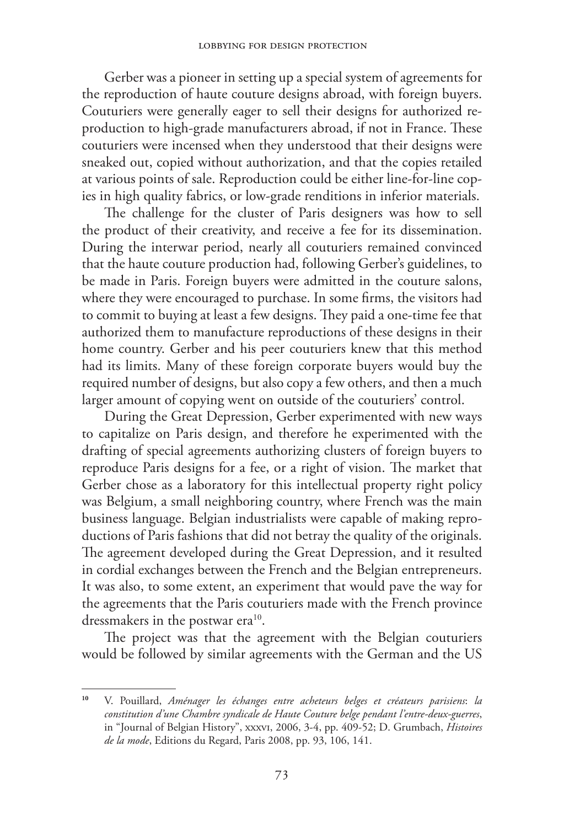Gerber was a pioneer in setting up a special system of agreements for the reproduction of haute couture designs abroad, with foreign buyers. Couturiers were generally eager to sell their designs for authorized reproduction to high-grade manufacturers abroad, if not in France. These couturiers were incensed when they understood that their designs were sneaked out, copied without authorization, and that the copies retailed at various points of sale. Reproduction could be either line-for-line copies in high quality fabrics, or low-grade renditions in inferior materials.

The challenge for the cluster of Paris designers was how to sell the product of their creativity, and receive a fee for its dissemination. During the interwar period, nearly all couturiers remained convinced that the haute couture production had, following Gerber's guidelines, to be made in Paris. Foreign buyers were admitted in the couture salons, where they were encouraged to purchase. In some firms, the visitors had to commit to buying at least a few designs. They paid a one-time fee that authorized them to manufacture reproductions of these designs in their home country. Gerber and his peer couturiers knew that this method had its limits. Many of these foreign corporate buyers would buy the required number of designs, but also copy a few others, and then a much larger amount of copying went on outside of the couturiers' control.

During the Great Depression, Gerber experimented with new ways to capitalize on Paris design, and therefore he experimented with the drafting of special agreements authorizing clusters of foreign buyers to reproduce Paris designs for a fee, or a right of vision. The market that Gerber chose as a laboratory for this intellectual property right policy was Belgium, a small neighboring country, where French was the main business language. Belgian industrialists were capable of making reproductions of Paris fashions that did not betray the quality of the originals. The agreement developed during the Great Depression, and it resulted in cordial exchanges between the French and the Belgian entrepreneurs. It was also, to some extent, an experiment that would pave the way for the agreements that the Paris couturiers made with the French province dressmakers in the postwar era<sup>10</sup>.

The project was that the agreement with the Belgian couturiers would be followed by similar agreements with the German and the US

**<sup>10</sup>** V. Pouillard, *Aménager les échanges entre acheteurs belges et créateurs parisiens*: *la constitution d'une Chambre syndicale de Haute Couture belge pendant l'entre-deux-guerres*, in "Journal of Belgian History", xxxvi, 2006, 3-4, pp. 409-52; D. Grumbach, *Histoires de la mode*, Editions du Regard, Paris 2008, pp. 93, 106, 141.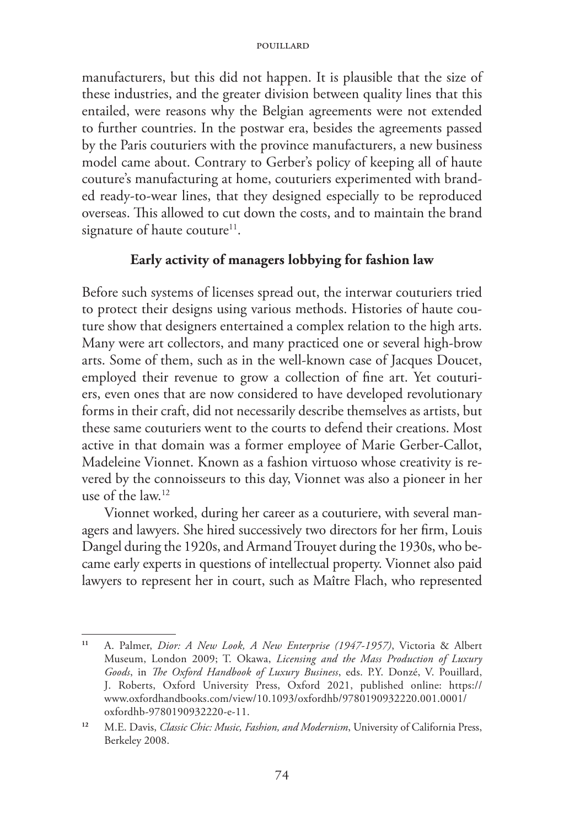manufacturers, but this did not happen. It is plausible that the size of these industries, and the greater division between quality lines that this entailed, were reasons why the Belgian agreements were not extended to further countries. In the postwar era, besides the agreements passed by the Paris couturiers with the province manufacturers, a new business model came about. Contrary to Gerber's policy of keeping all of haute couture's manufacturing at home, couturiers experimented with branded ready-to-wear lines, that they designed especially to be reproduced overseas. This allowed to cut down the costs, and to maintain the brand signature of haute couture<sup>11</sup>.

# **Early activity of managers lobbying for fashion law**

Before such systems of licenses spread out, the interwar couturiers tried to protect their designs using various methods. Histories of haute couture show that designers entertained a complex relation to the high arts. Many were art collectors, and many practiced one or several high-brow arts. Some of them, such as in the well-known case of Jacques Doucet, employed their revenue to grow a collection of fine art. Yet couturiers, even ones that are now considered to have developed revolutionary forms in their craft, did not necessarily describe themselves as artists, but these same couturiers went to the courts to defend their creations. Most active in that domain was a former employee of Marie Gerber-Callot, Madeleine Vionnet. Known as a fashion virtuoso whose creativity is revered by the connoisseurs to this day, Vionnet was also a pioneer in her use of the law.12

Vionnet worked, during her career as a couturiere, with several managers and lawyers. She hired successively two directors for her firm, Louis Dangel during the 1920s, and Armand Trouyet during the 1930s, who became early experts in questions of intellectual property. Vionnet also paid lawyers to represent her in court, such as Maître Flach, who represented

**<sup>11</sup>** A. Palmer, *Dior: A New Look, A New Enterprise (1947-1957)*, Victoria & Albert Museum, London 2009; T. Okawa, *Licensing and the Mass Production of Luxury Goods*, in *The Oxford Handbook of Luxury Business*, eds. P.Y. Donzé, V. Pouillard, J. Roberts, Oxford University Press, Oxford 2021, published online: https:// www.oxfordhandbooks.com/view/10.1093/oxfordhb/9780190932220.001.0001/ oxfordhb-9780190932220-e-11.

**<sup>12</sup>** M.E. Davis, *Classic Chic: Music, Fashion, and Modernism*, University of California Press, Berkeley 2008.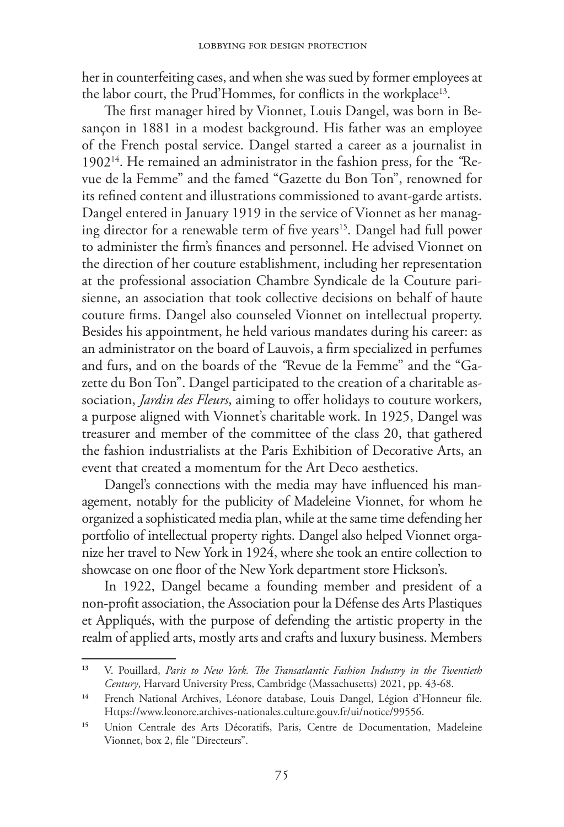her in counterfeiting cases, and when she was sued by former employees at the labor court, the Prud'Hommes, for conflicts in the workplace<sup>13</sup>.

The first manager hired by Vionnet, Louis Dangel, was born in Besançon in 1881 in a modest background. His father was an employee of the French postal service. Dangel started a career as a journalist in 190214. He remained an administrator in the fashion press, for the *"*Revue de la Femme" and the famed "Gazette du Bon Ton", renowned for its refined content and illustrations commissioned to avant-garde artists. Dangel entered in January 1919 in the service of Vionnet as her managing director for a renewable term of five years<sup>15</sup>. Dangel had full power to administer the firm's finances and personnel. He advised Vionnet on the direction of her couture establishment, including her representation at the professional association Chambre Syndicale de la Couture parisienne, an association that took collective decisions on behalf of haute couture firms. Dangel also counseled Vionnet on intellectual property. Besides his appointment, he held various mandates during his career: as an administrator on the board of Lauvois, a firm specialized in perfumes and furs, and on the boards of the *"*Revue de la Femme" and the "Gazette du Bon Ton". Dangel participated to the creation of a charitable association, *Jardin des Fleurs*, aiming to offer holidays to couture workers, a purpose aligned with Vionnet's charitable work. In 1925, Dangel was treasurer and member of the committee of the class 20, that gathered the fashion industrialists at the Paris Exhibition of Decorative Arts, an event that created a momentum for the Art Deco aesthetics.

Dangel's connections with the media may have influenced his management, notably for the publicity of Madeleine Vionnet, for whom he organized a sophisticated media plan, while at the same time defending her portfolio of intellectual property rights. Dangel also helped Vionnet organize her travel to New York in 1924, where she took an entire collection to showcase on one floor of the New York department store Hickson's.

In 1922, Dangel became a founding member and president of a non-profit association, the Association pour la Défense des Arts Plastiques et Appliqués, with the purpose of defending the artistic property in the realm of applied arts, mostly arts and crafts and luxury business. Members

**<sup>13</sup>** V. Pouillard, *Paris to New York. The Transatlantic Fashion Industry in the Twentieth Century*, Harvard University Press, Cambridge (Massachusetts) 2021, pp. 43-68.

**<sup>14</sup>** French National Archives, Léonore database, Louis Dangel, Légion d'Honneur file. Https://www.leonore.archives-nationales.culture.gouv.fr/ui/notice/99556.

**<sup>15</sup>** Union Centrale des Arts Décoratifs, Paris, Centre de Documentation, Madeleine Vionnet, box 2, file "Directeurs".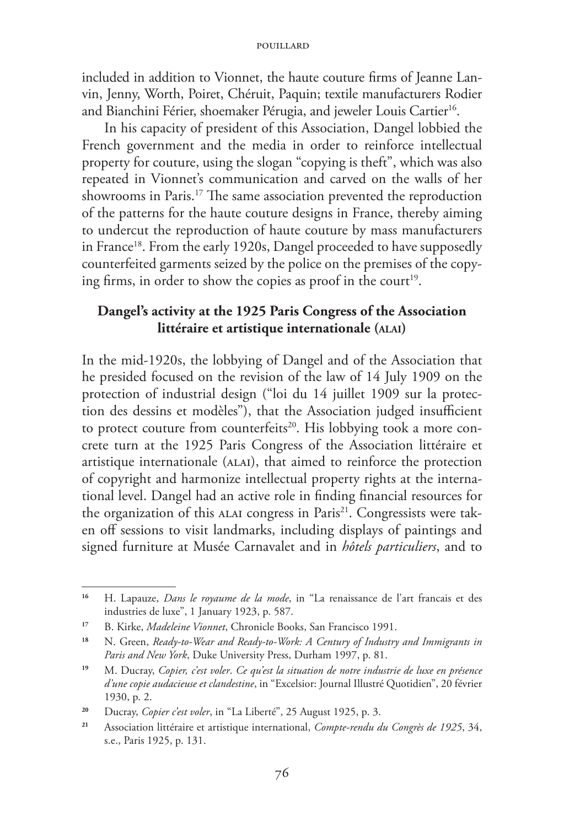included in addition to Vionnet, the haute couture firms of Jeanne Lanvin, Jenny, Worth, Poiret, Chéruit, Paquin; textile manufacturers Rodier and Bianchini Férier, shoemaker Pérugia, and jeweler Louis Cartier<sup>16</sup>.

In his capacity of president of this Association, Dangel lobbied the French government and the media in order to reinforce intellectual property for couture, using the slogan "copying is theft", which was also repeated in Vionnet's communication and carved on the walls of her showrooms in Paris.17 The same association prevented the reproduction of the patterns for the haute couture designs in France, thereby aiming to undercut the reproduction of haute couture by mass manufacturers in France<sup>18</sup>. From the early 1920s, Dangel proceeded to have supposedly counterfeited garments seized by the police on the premises of the copying firms, in order to show the copies as proof in the court<sup>19</sup>.

# **Dangel's activity at the 1925 Paris Congress of the Association littéraire et artistique internationale (alai)**

In the mid-1920s, the lobbying of Dangel and of the Association that he presided focused on the revision of the law of 14 July 1909 on the protection of industrial design ("loi du 14 juillet 1909 sur la protection des dessins et modèles"), that the Association judged insufficient to protect couture from counterfeits<sup>20</sup>. His lobbying took a more concrete turn at the 1925 Paris Congress of the Association littéraire et artistique internationale (alai), that aimed to reinforce the protection of copyright and harmonize intellectual property rights at the international level. Dangel had an active role in finding financial resources for the organization of this ALAI congress in Paris<sup>21</sup>. Congressists were taken off sessions to visit landmarks, including displays of paintings and signed furniture at Musée Carnavalet and in *hôtels particuliers*, and to

**<sup>16</sup>** H. Lapauze, *Dans le royaume de la mode*, in "La renaissance de l'art francais et des industries de luxe", 1 January 1923, p. 587.

**<sup>17</sup>** B. Kirke, *Madeleine Vionnet*, Chronicle Books, San Francisco 1991.

**<sup>18</sup>** N. Green, *Ready-to-Wear and Ready-to-Work: A Century of Industry and Immigrants in Paris and New York*, Duke University Press, Durham 1997, p. 81.

**<sup>19</sup>** M. Ducray, *Copier, c'est voler*. *Ce qu'est la situation de notre industrie de luxe en présence d'une copie audacieuse et clandestine*, in "Excelsior: Journal Illustré Quotidien", 20 février 1930, p. 2.

**<sup>20</sup>** Ducray, *Copier c'est voler*, in "La Liberté", 25 August 1925, p. 3.

**<sup>21</sup>** Association littéraire et artistique international, *Compte-rendu du Congrès de 1925*, 34, s.e., Paris 1925, p. 131.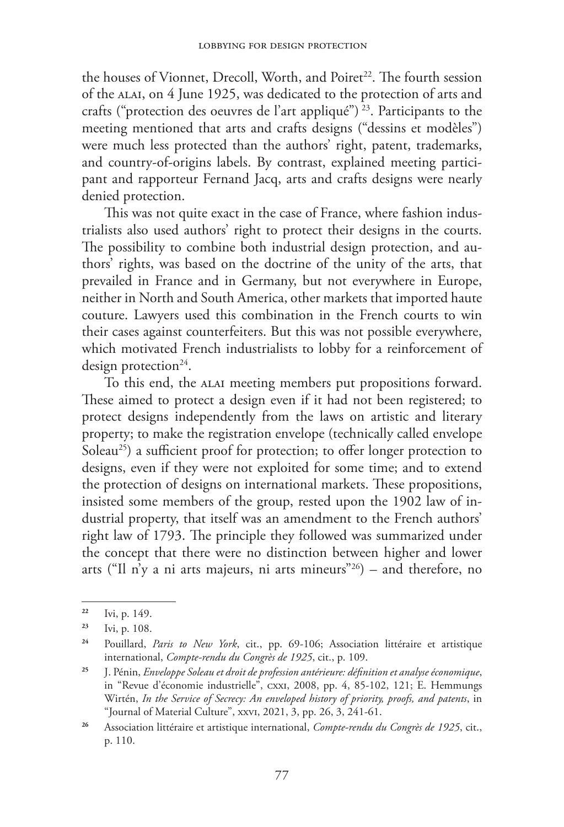the houses of Vionnet, Drecoll, Worth, and Poiret<sup>22</sup>. The fourth session of the alai, on 4 June 1925, was dedicated to the protection of arts and crafts ("protection des oeuvres de l'art appliqué")<sup>23</sup>. Participants to the meeting mentioned that arts and crafts designs ("dessins et modèles") were much less protected than the authors' right, patent, trademarks, and country-of-origins labels. By contrast, explained meeting participant and rapporteur Fernand Jacq, arts and crafts designs were nearly denied protection.

This was not quite exact in the case of France, where fashion industrialists also used authors' right to protect their designs in the courts. The possibility to combine both industrial design protection, and authors' rights, was based on the doctrine of the unity of the arts, that prevailed in France and in Germany, but not everywhere in Europe, neither in North and South America, other markets that imported haute couture. Lawyers used this combination in the French courts to win their cases against counterfeiters. But this was not possible everywhere, which motivated French industrialists to lobby for a reinforcement of design protection<sup>24</sup>.

To this end, the alai meeting members put propositions forward. These aimed to protect a design even if it had not been registered; to protect designs independently from the laws on artistic and literary property; to make the registration envelope (technically called envelope Soleau<sup>25</sup>) a sufficient proof for protection; to offer longer protection to designs, even if they were not exploited for some time; and to extend the protection of designs on international markets. These propositions, insisted some members of the group, rested upon the 1902 law of industrial property, that itself was an amendment to the French authors' right law of 1793. The principle they followed was summarized under the concept that there were no distinction between higher and lower arts ("Il n'y a ni arts majeurs, ni arts mineurs"<sup>26</sup>) – and therefore, no

**<sup>22</sup>** Ivi, p. 149.

**<sup>23</sup>** Ivi, p. 108.

**<sup>24</sup>** Pouillard, *Paris to New York*, cit., pp. 69-106; Association littéraire et artistique international, *Compte-rendu du Congrès de 1925*, cit., p. 109.

**<sup>25</sup>** J. Pénin, *Enveloppe Soleau et droit de profession antérieure: définition et analyse économique*, in "Revue d'économie industrielle", cxxi, 2008, pp. 4, 85-102, 121; E. Hemmungs Wirtén, *In the Service of Secrecy: An enveloped history of priority, proofs, and patents*, in "Journal of Material Culture", xxvi, 2021, 3, pp. 26, 3, 241-61.

**<sup>26</sup>** Association littéraire et artistique international, *Compte-rendu du Congrès de 1925*, cit., p. 110.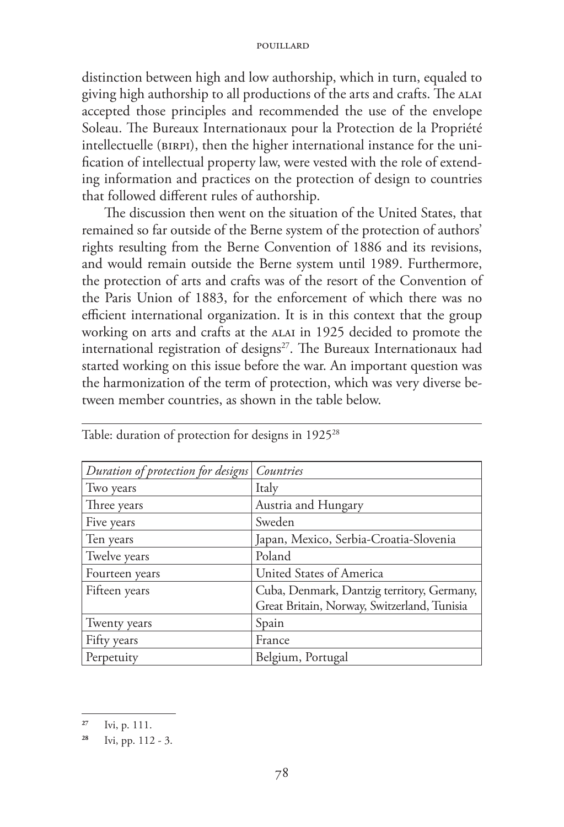distinction between high and low authorship, which in turn, equaled to giving high authorship to all productions of the arts and crafts. The ALAI accepted those principles and recommended the use of the envelope Soleau. The Bureaux Internationaux pour la Protection de la Propriété intellectuelle (birpi), then the higher international instance for the unification of intellectual property law, were vested with the role of extending information and practices on the protection of design to countries that followed different rules of authorship.

The discussion then went on the situation of the United States, that remained so far outside of the Berne system of the protection of authors' rights resulting from the Berne Convention of 1886 and its revisions, and would remain outside the Berne system until 1989. Furthermore, the protection of arts and crafts was of the resort of the Convention of the Paris Union of 1883, for the enforcement of which there was no efficient international organization. It is in this context that the group working on arts and crafts at the ALAI in 1925 decided to promote the international registration of designs<sup>27</sup>. The Bureaux Internationaux had started working on this issue before the war. An important question was the harmonization of the term of protection, which was very diverse between member countries, as shown in the table below.

| Duration of protection for designs Countries |                                             |
|----------------------------------------------|---------------------------------------------|
| Two years                                    | Italy                                       |
| Three years                                  | Austria and Hungary                         |
| Five years                                   | Sweden                                      |
| Ten years                                    | Japan, Mexico, Serbia-Croatia-Slovenia      |
| Twelve years                                 | Poland                                      |
| Fourteen years                               | United States of America                    |
| Fifteen years                                | Cuba, Denmark, Dantzig territory, Germany,  |
|                                              | Great Britain, Norway, Switzerland, Tunisia |
| Twenty years                                 | Spain                                       |
| Fifty years                                  | France                                      |
| Perpetuity                                   | Belgium, Portugal                           |

Table: duration of protection for designs in 1925<sup>28</sup>

**<sup>27</sup>** Ivi, p. 111.

**<sup>28</sup>** Ivi, pp. 112 - 3.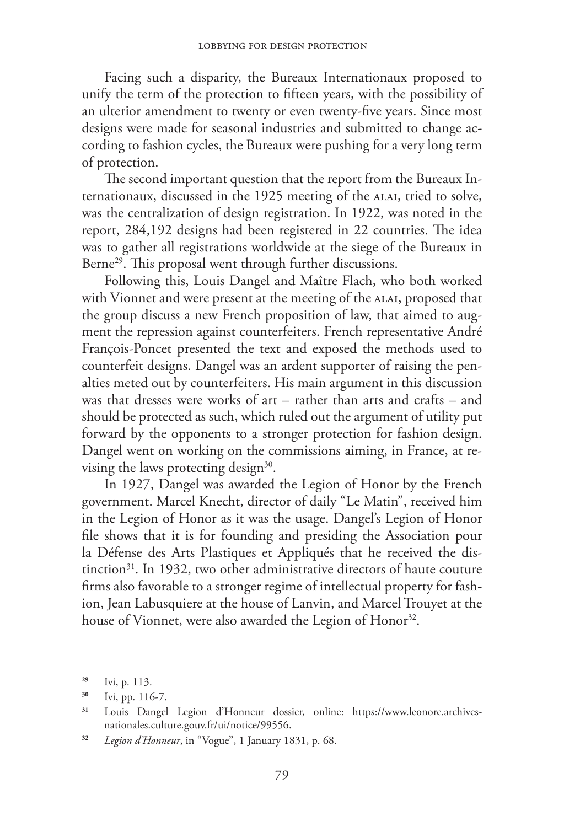Facing such a disparity, the Bureaux Internationaux proposed to unify the term of the protection to fifteen years, with the possibility of an ulterior amendment to twenty or even twenty-five years. Since most designs were made for seasonal industries and submitted to change according to fashion cycles, the Bureaux were pushing for a very long term of protection.

The second important question that the report from the Bureaux Internationaux, discussed in the 1925 meeting of the ALAI, tried to solve, was the centralization of design registration. In 1922, was noted in the report, 284,192 designs had been registered in 22 countries. The idea was to gather all registrations worldwide at the siege of the Bureaux in Berne<sup>29</sup>. This proposal went through further discussions.

Following this, Louis Dangel and Maître Flach, who both worked with Vionnet and were present at the meeting of the ALAI, proposed that the group discuss a new French proposition of law, that aimed to augment the repression against counterfeiters. French representative André François-Poncet presented the text and exposed the methods used to counterfeit designs. Dangel was an ardent supporter of raising the penalties meted out by counterfeiters. His main argument in this discussion was that dresses were works of art – rather than arts and crafts – and should be protected as such, which ruled out the argument of utility put forward by the opponents to a stronger protection for fashion design. Dangel went on working on the commissions aiming, in France, at revising the laws protecting design<sup>30</sup>.

In 1927, Dangel was awarded the Legion of Honor by the French government. Marcel Knecht, director of daily "Le Matin", received him in the Legion of Honor as it was the usage. Dangel's Legion of Honor file shows that it is for founding and presiding the Association pour la Défense des Arts Plastiques et Appliqués that he received the distinction<sup>31</sup>. In 1932, two other administrative directors of haute couture firms also favorable to a stronger regime of intellectual property for fashion, Jean Labusquiere at the house of Lanvin, and Marcel Trouyet at the house of Vionnet, were also awarded the Legion of Honor<sup>32</sup>.

**<sup>29</sup>** Ivi, p. 113.

**<sup>30</sup>** Ivi, pp. 116-7.

**<sup>31</sup>** Louis Dangel Legion d'Honneur dossier, online: https://www.leonore.archivesnationales.culture.gouv.fr/ui/notice/99556.

**<sup>32</sup>** *Legion d'Honneur*, in "Vogue", 1 January 1831, p. 68.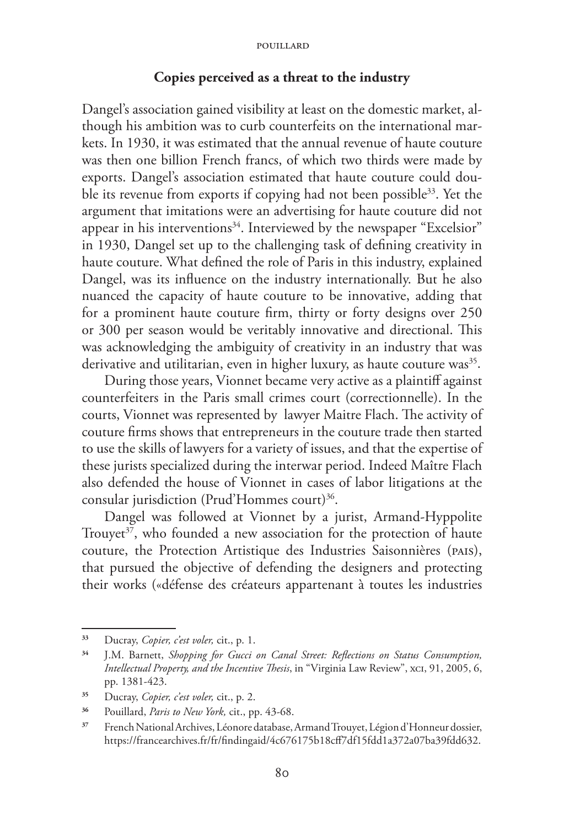### **Copies perceived as a threat to the industry**

Dangel's association gained visibility at least on the domestic market, although his ambition was to curb counterfeits on the international markets. In 1930, it was estimated that the annual revenue of haute couture was then one billion French francs, of which two thirds were made by exports. Dangel's association estimated that haute couture could double its revenue from exports if copying had not been possible<sup>33</sup>. Yet the argument that imitations were an advertising for haute couture did not appear in his interventions<sup>34</sup>. Interviewed by the newspaper "Excelsior" in 1930, Dangel set up to the challenging task of defining creativity in haute couture. What defined the role of Paris in this industry, explained Dangel, was its influence on the industry internationally. But he also nuanced the capacity of haute couture to be innovative, adding that for a prominent haute couture firm, thirty or forty designs over 250 or 300 per season would be veritably innovative and directional. This was acknowledging the ambiguity of creativity in an industry that was derivative and utilitarian, even in higher luxury, as haute couture was<sup>35</sup>.

During those years, Vionnet became very active as a plaintiff against counterfeiters in the Paris small crimes court (correctionnelle). In the courts, Vionnet was represented by lawyer Maitre Flach. The activity of couture firms shows that entrepreneurs in the couture trade then started to use the skills of lawyers for a variety of issues, and that the expertise of these jurists specialized during the interwar period. Indeed Maître Flach also defended the house of Vionnet in cases of labor litigations at the consular jurisdiction (Prud'Hommes court)<sup>36</sup>.

Dangel was followed at Vionnet by a jurist, Armand-Hyppolite Trouvet<sup> $37$ </sup>, who founded a new association for the protection of haute couture, the Protection Artistique des Industries Saisonnières (pais), that pursued the objective of defending the designers and protecting their works («défense des créateurs appartenant à toutes les industries

**<sup>33</sup>** Ducray, *Copier, c'est voler,* cit., p. 1.

**<sup>34</sup>** J.M. Barnett, *Shopping for Gucci on Canal Street: Reflections on Status Consumption, Intellectual Property, and the Incentive Thesis*, in "Virginia Law Review", xci, 91, 2005, 6, pp. 1381-423.

**<sup>35</sup>** Ducray, *Copier, c'est voler,* cit., p. 2.

**<sup>36</sup>** Pouillard, *Paris to New York,* cit., pp. 43-68.

**<sup>37</sup>** French National Archives, Léonore database, Armand Trouyet, Légion d'Honneur dossier, https://francearchives.fr/fr/findingaid/4c676175b18cff7df15fdd1a372a07ba39fdd632.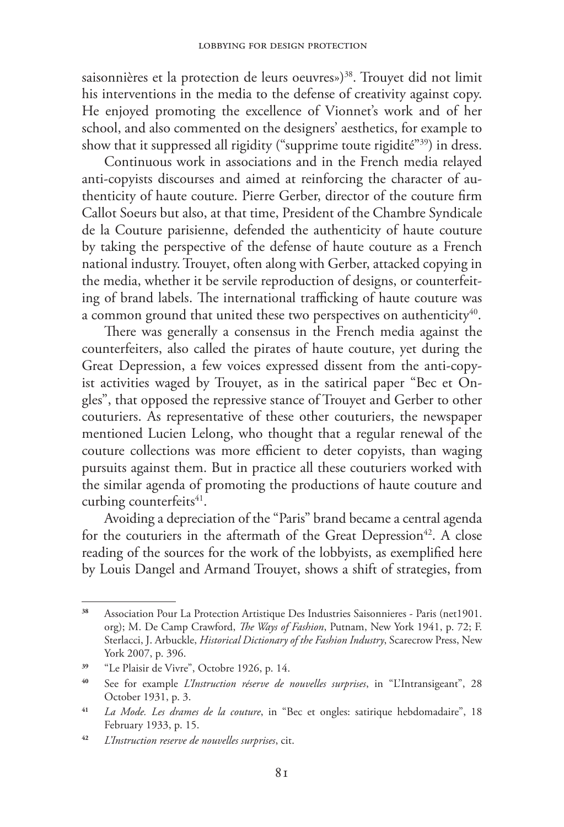saisonnières et la protection de leurs oeuvres»)<sup>38</sup>. Trouvet did not limit his interventions in the media to the defense of creativity against copy. He enjoyed promoting the excellence of Vionnet's work and of her school, and also commented on the designers' aesthetics, for example to show that it suppressed all rigidity ("supprime toute rigidité"39) in dress.

Continuous work in associations and in the French media relayed anti-copyists discourses and aimed at reinforcing the character of authenticity of haute couture. Pierre Gerber, director of the couture firm Callot Soeurs but also, at that time, President of the Chambre Syndicale de la Couture parisienne, defended the authenticity of haute couture by taking the perspective of the defense of haute couture as a French national industry. Trouyet, often along with Gerber, attacked copying in the media, whether it be servile reproduction of designs, or counterfeiting of brand labels. The international trafficking of haute couture was a common ground that united these two perspectives on authenticity<sup>40</sup>.

There was generally a consensus in the French media against the counterfeiters, also called the pirates of haute couture, yet during the Great Depression, a few voices expressed dissent from the anti-copyist activities waged by Trouyet, as in the satirical paper "Bec et Ongles", that opposed the repressive stance of Trouyet and Gerber to other couturiers. As representative of these other couturiers, the newspaper mentioned Lucien Lelong, who thought that a regular renewal of the couture collections was more efficient to deter copyists, than waging pursuits against them. But in practice all these couturiers worked with the similar agenda of promoting the productions of haute couture and curbing counterfeits<sup>41</sup>.

Avoiding a depreciation of the "Paris" brand became a central agenda for the couturiers in the aftermath of the Great Depression<sup>42</sup>. A close reading of the sources for the work of the lobbyists, as exemplified here by Louis Dangel and Armand Trouyet, shows a shift of strategies, from

**<sup>38</sup>** Association Pour La Protection Artistique Des Industries Saisonnieres - Paris (net1901. org); M. De Camp Crawford, *The Ways of Fashion*, Putnam, New York 1941, p. 72; F. Sterlacci, J. Arbuckle, *Historical Dictionary of the Fashion Industry*, Scarecrow Press, New York 2007, p. 396.

**<sup>39</sup>** "Le Plaisir de Vivre", Octobre 1926, p. 14.

**<sup>40</sup>** See for example *L'Instruction réserve de nouvelles surprises*, in "L'Intransigeant", 28 October 1931, p. 3.

**<sup>41</sup>** *La Mode. Les drames de la couture*, in "Bec et ongles: satirique hebdomadaire", 18 February 1933, p. 15.

**<sup>42</sup>** *L'Instruction reserve de nouvelles surprises*, cit.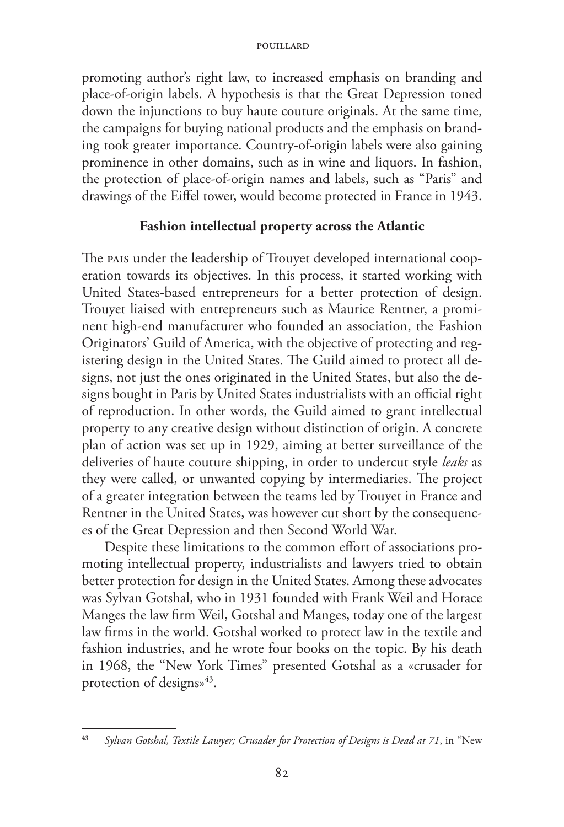promoting author's right law, to increased emphasis on branding and place-of-origin labels. A hypothesis is that the Great Depression toned down the injunctions to buy haute couture originals. At the same time, the campaigns for buying national products and the emphasis on branding took greater importance. Country-of-origin labels were also gaining prominence in other domains, such as in wine and liquors. In fashion, the protection of place-of-origin names and labels, such as "Paris" and drawings of the Eiffel tower, would become protected in France in 1943.

# **Fashion intellectual property across the Atlantic**

The pais under the leadership of Trouyet developed international cooperation towards its objectives. In this process, it started working with United States-based entrepreneurs for a better protection of design. Trouyet liaised with entrepreneurs such as Maurice Rentner, a prominent high-end manufacturer who founded an association, the Fashion Originators' Guild of America, with the objective of protecting and registering design in the United States. The Guild aimed to protect all designs, not just the ones originated in the United States, but also the designs bought in Paris by United States industrialists with an official right of reproduction. In other words, the Guild aimed to grant intellectual property to any creative design without distinction of origin. A concrete plan of action was set up in 1929, aiming at better surveillance of the deliveries of haute couture shipping, in order to undercut style *leaks* as they were called, or unwanted copying by intermediaries. The project of a greater integration between the teams led by Trouyet in France and Rentner in the United States, was however cut short by the consequences of the Great Depression and then Second World War.

Despite these limitations to the common effort of associations promoting intellectual property, industrialists and lawyers tried to obtain better protection for design in the United States. Among these advocates was Sylvan Gotshal, who in 1931 founded with Frank Weil and Horace Manges the law firm Weil, Gotshal and Manges, today one of the largest law firms in the world. Gotshal worked to protect law in the textile and fashion industries, and he wrote four books on the topic. By his death in 1968, the "New York Times" presented Gotshal as a «crusader for protection of designs»<sup>43</sup>.

**<sup>43</sup>** *Sylvan Gotshal, Textile Lawyer; Crusader for Protection of Designs is Dead at 71*, in "New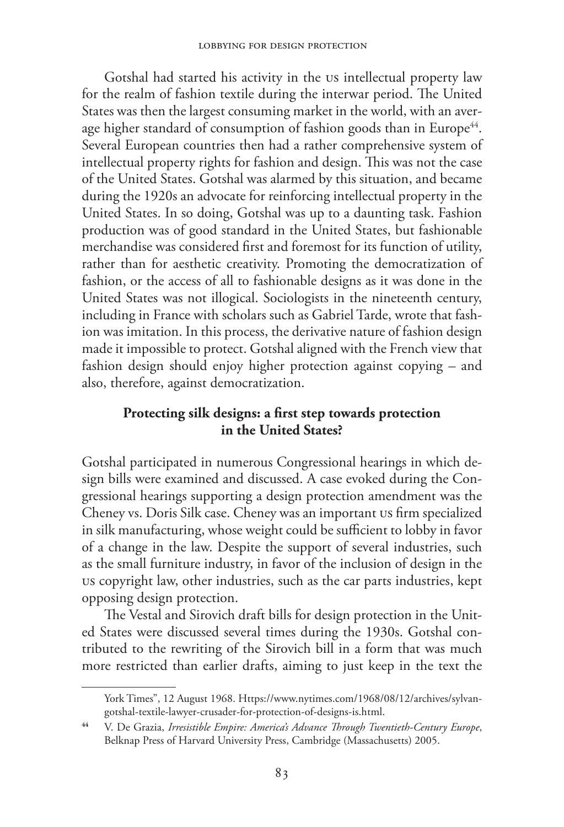Gotshal had started his activity in the US intellectual property law for the realm of fashion textile during the interwar period. The United States was then the largest consuming market in the world, with an average higher standard of consumption of fashion goods than in Europe<sup>44</sup>. Several European countries then had a rather comprehensive system of intellectual property rights for fashion and design. This was not the case of the United States. Gotshal was alarmed by this situation, and became during the 1920s an advocate for reinforcing intellectual property in the United States. In so doing, Gotshal was up to a daunting task. Fashion production was of good standard in the United States, but fashionable merchandise was considered first and foremost for its function of utility, rather than for aesthetic creativity. Promoting the democratization of fashion, or the access of all to fashionable designs as it was done in the United States was not illogical. Sociologists in the nineteenth century, including in France with scholars such as Gabriel Tarde, wrote that fashion was imitation. In this process, the derivative nature of fashion design made it impossible to protect. Gotshal aligned with the French view that fashion design should enjoy higher protection against copying – and also, therefore, against democratization.

# **Protecting silk designs: a first step towards protection in the United States?**

Gotshal participated in numerous Congressional hearings in which design bills were examined and discussed. A case evoked during the Congressional hearings supporting a design protection amendment was the Cheney vs. Doris Silk case. Cheney was an important US firm specialized in silk manufacturing, whose weight could be sufficient to lobby in favor of a change in the law. Despite the support of several industries, such as the small furniture industry, in favor of the inclusion of design in the US copyright law, other industries, such as the car parts industries, kept opposing design protection.

The Vestal and Sirovich draft bills for design protection in the United States were discussed several times during the 1930s. Gotshal contributed to the rewriting of the Sirovich bill in a form that was much more restricted than earlier drafts, aiming to just keep in the text the

York Times", 12 August 1968. Https://www.nytimes.com/1968/08/12/archives/sylvangotshal-textile-lawyer-crusader-for-protection-of-designs-is.html.

**<sup>44</sup>** V. De Grazia, *Irresistible Empire: America's Advance Through Twentieth-Century Europe*, Belknap Press of Harvard University Press, Cambridge (Massachusetts) 2005.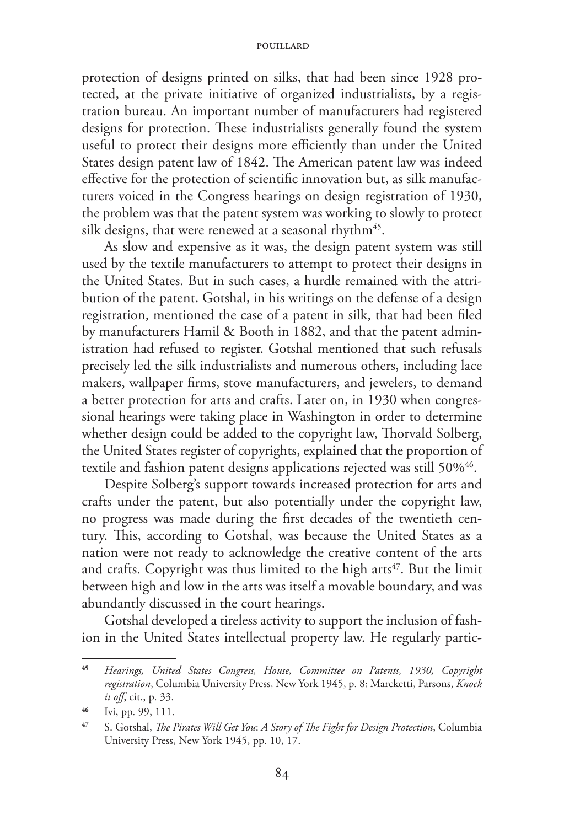protection of designs printed on silks, that had been since 1928 protected, at the private initiative of organized industrialists, by a registration bureau. An important number of manufacturers had registered designs for protection. These industrialists generally found the system useful to protect their designs more efficiently than under the United States design patent law of 1842. The American patent law was indeed effective for the protection of scientific innovation but, as silk manufacturers voiced in the Congress hearings on design registration of 1930, the problem was that the patent system was working to slowly to protect silk designs, that were renewed at a seasonal rhythm<sup>45</sup>.

As slow and expensive as it was, the design patent system was still used by the textile manufacturers to attempt to protect their designs in the United States. But in such cases, a hurdle remained with the attribution of the patent. Gotshal, in his writings on the defense of a design registration, mentioned the case of a patent in silk, that had been filed by manufacturers Hamil & Booth in 1882, and that the patent administration had refused to register. Gotshal mentioned that such refusals precisely led the silk industrialists and numerous others, including lace makers, wallpaper firms, stove manufacturers, and jewelers, to demand a better protection for arts and crafts. Later on, in 1930 when congressional hearings were taking place in Washington in order to determine whether design could be added to the copyright law, Thorvald Solberg, the United States register of copyrights, explained that the proportion of textile and fashion patent designs applications rejected was still 50%<sup>46</sup>.

Despite Solberg's support towards increased protection for arts and crafts under the patent, but also potentially under the copyright law, no progress was made during the first decades of the twentieth century. This, according to Gotshal, was because the United States as a nation were not ready to acknowledge the creative content of the arts and crafts. Copyright was thus limited to the high arts<sup>47</sup>. But the limit between high and low in the arts was itself a movable boundary, and was abundantly discussed in the court hearings.

Gotshal developed a tireless activity to support the inclusion of fashion in the United States intellectual property law. He regularly partic-

**<sup>45</sup>** *Hearings, United States Congress, House, Committee on Patents, 1930, Copyright registration*, Columbia University Press, New York 1945, p. 8; Marcketti, Parsons, *Knock it off*, cit., p. 33.

**<sup>46</sup>** Ivi, pp. 99, 111.

**<sup>47</sup>** S. Gotshal, *The Pirates Will Get You*: *A Story of The Fight for Design Protection*, Columbia University Press, New York 1945, pp. 10, 17.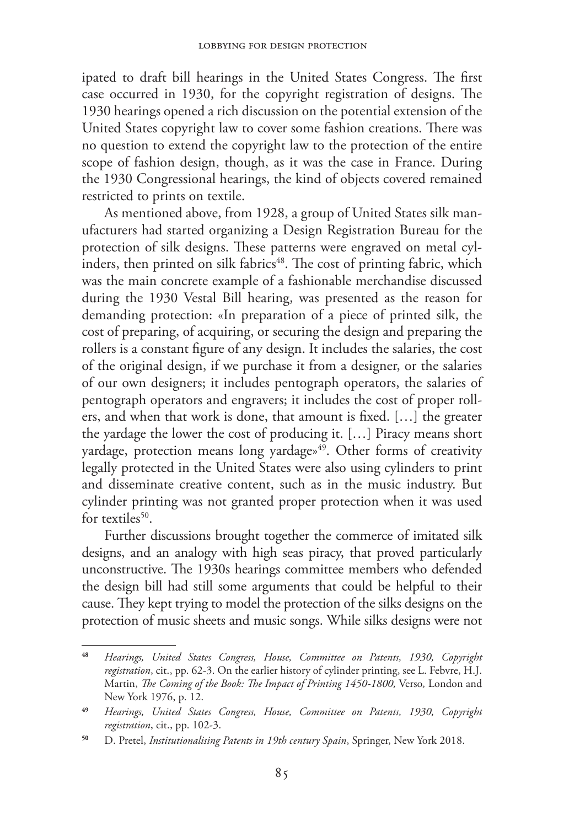ipated to draft bill hearings in the United States Congress. The first case occurred in 1930, for the copyright registration of designs. The 1930 hearings opened a rich discussion on the potential extension of the United States copyright law to cover some fashion creations. There was no question to extend the copyright law to the protection of the entire scope of fashion design, though, as it was the case in France. During the 1930 Congressional hearings, the kind of objects covered remained restricted to prints on textile.

As mentioned above, from 1928, a group of United States silk manufacturers had started organizing a Design Registration Bureau for the protection of silk designs. These patterns were engraved on metal cyl- $\frac{1}{2}$  inders, then printed on silk fabrics<sup>48</sup>. The cost of printing fabric, which was the main concrete example of a fashionable merchandise discussed during the 1930 Vestal Bill hearing, was presented as the reason for demanding protection: «In preparation of a piece of printed silk, the cost of preparing, of acquiring, or securing the design and preparing the rollers is a constant figure of any design. It includes the salaries, the cost of the original design, if we purchase it from a designer, or the salaries of our own designers; it includes pentograph operators, the salaries of pentograph operators and engravers; it includes the cost of proper rollers, and when that work is done, that amount is fixed. […] the greater the yardage the lower the cost of producing it. […] Piracy means short yardage, protection means long yardage»<sup>49</sup>. Other forms of creativity legally protected in the United States were also using cylinders to print and disseminate creative content, such as in the music industry. But cylinder printing was not granted proper protection when it was used for textiles $50$ .

Further discussions brought together the commerce of imitated silk designs, and an analogy with high seas piracy, that proved particularly unconstructive. The 1930s hearings committee members who defended the design bill had still some arguments that could be helpful to their cause. They kept trying to model the protection of the silks designs on the protection of music sheets and music songs. While silks designs were not

**<sup>48</sup>** *Hearings, United States Congress, House, Committee on Patents, 1930, Copyright registration*, cit., pp. 62-3. On the earlier history of cylinder printing, see L. Febvre, H.J. Martin, *The Coming of the Book: The Impact of Printing 1450-1800,* Verso*,* London and New York 1976, p. 12.

**<sup>49</sup>** *Hearings, United States Congress, House, Committee on Patents, 1930, Copyright registration*, cit., pp. 102-3.

**<sup>50</sup>** D. Pretel, *Institutionalising Patents in 19th century Spain*, Springer, New York 2018.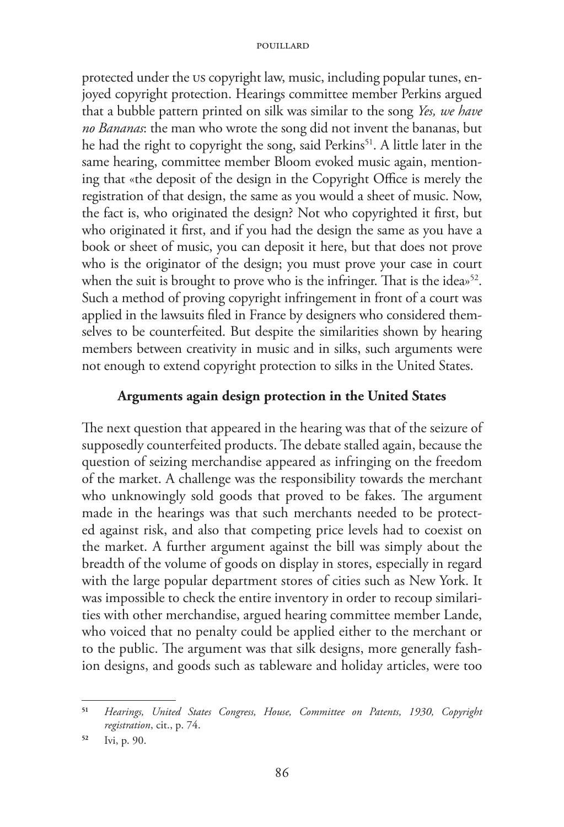protected under the US copyright law, music, including popular tunes, enjoyed copyright protection. Hearings committee member Perkins argued that a bubble pattern printed on silk was similar to the song *Yes, we have no Bananas*: the man who wrote the song did not invent the bananas, but he had the right to copyright the song, said Perkins<sup>51</sup>. A little later in the same hearing, committee member Bloom evoked music again, mentioning that «the deposit of the design in the Copyright Office is merely the registration of that design, the same as you would a sheet of music. Now, the fact is, who originated the design? Not who copyrighted it first, but who originated it first, and if you had the design the same as you have a book or sheet of music, you can deposit it here, but that does not prove who is the originator of the design; you must prove your case in court when the suit is brought to prove who is the infringer. That is the idea»<sup>52</sup>. Such a method of proving copyright infringement in front of a court was applied in the lawsuits filed in France by designers who considered themselves to be counterfeited. But despite the similarities shown by hearing members between creativity in music and in silks, such arguments were not enough to extend copyright protection to silks in the United States.

## **Arguments again design protection in the United States**

The next question that appeared in the hearing was that of the seizure of supposedly counterfeited products. The debate stalled again, because the question of seizing merchandise appeared as infringing on the freedom of the market. A challenge was the responsibility towards the merchant who unknowingly sold goods that proved to be fakes. The argument made in the hearings was that such merchants needed to be protected against risk, and also that competing price levels had to coexist on the market. A further argument against the bill was simply about the breadth of the volume of goods on display in stores, especially in regard with the large popular department stores of cities such as New York. It was impossible to check the entire inventory in order to recoup similarities with other merchandise, argued hearing committee member Lande, who voiced that no penalty could be applied either to the merchant or to the public. The argument was that silk designs, more generally fashion designs, and goods such as tableware and holiday articles, were too

**<sup>51</sup>** *Hearings, United States Congress, House, Committee on Patents, 1930, Copyright registration*, cit., p. 74.

**<sup>52</sup>** Ivi, p. 90.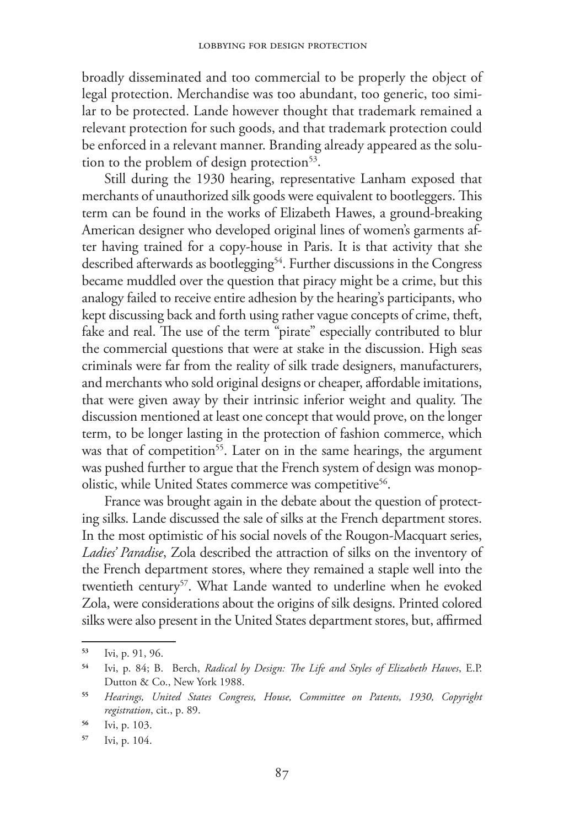broadly disseminated and too commercial to be properly the object of legal protection. Merchandise was too abundant, too generic, too similar to be protected. Lande however thought that trademark remained a relevant protection for such goods, and that trademark protection could be enforced in a relevant manner. Branding already appeared as the solution to the problem of design protection<sup>53</sup>.

Still during the 1930 hearing, representative Lanham exposed that merchants of unauthorized silk goods were equivalent to bootleggers. This term can be found in the works of Elizabeth Hawes, a ground-breaking American designer who developed original lines of women's garments after having trained for a copy-house in Paris. It is that activity that she described afterwards as bootlegging<sup>54</sup>. Further discussions in the Congress became muddled over the question that piracy might be a crime, but this analogy failed to receive entire adhesion by the hearing's participants, who kept discussing back and forth using rather vague concepts of crime, theft, fake and real. The use of the term "pirate" especially contributed to blur the commercial questions that were at stake in the discussion. High seas criminals were far from the reality of silk trade designers, manufacturers, and merchants who sold original designs or cheaper, affordable imitations, that were given away by their intrinsic inferior weight and quality. The discussion mentioned at least one concept that would prove, on the longer term, to be longer lasting in the protection of fashion commerce, which was that of competition<sup>55</sup>. Later on in the same hearings, the argument was pushed further to argue that the French system of design was monopolistic, while United States commerce was competitive<sup>56</sup>.

France was brought again in the debate about the question of protecting silks. Lande discussed the sale of silks at the French department stores. In the most optimistic of his social novels of the Rougon-Macquart series, *Ladies' Paradise*, Zola described the attraction of silks on the inventory of the French department stores, where they remained a staple well into the twentieth century<sup>57</sup>. What Lande wanted to underline when he evoked Zola, were considerations about the origins of silk designs. Printed colored silks were also present in the United States department stores, but, affirmed

**<sup>53</sup>** Ivi, p. 91, 96.

**<sup>54</sup>** Ivi, p. 84; B. Berch, *Radical by Design: The Life and Styles of Elizabeth Hawes*, E.P. Dutton & Co., New York 1988.

**<sup>55</sup>** *Hearings, United States Congress, House, Committee on Patents, 1930, Copyright registration*, cit., p. 89.

**<sup>56</sup>** Ivi, p. 103.

**<sup>57</sup>** Ivi, p. 104.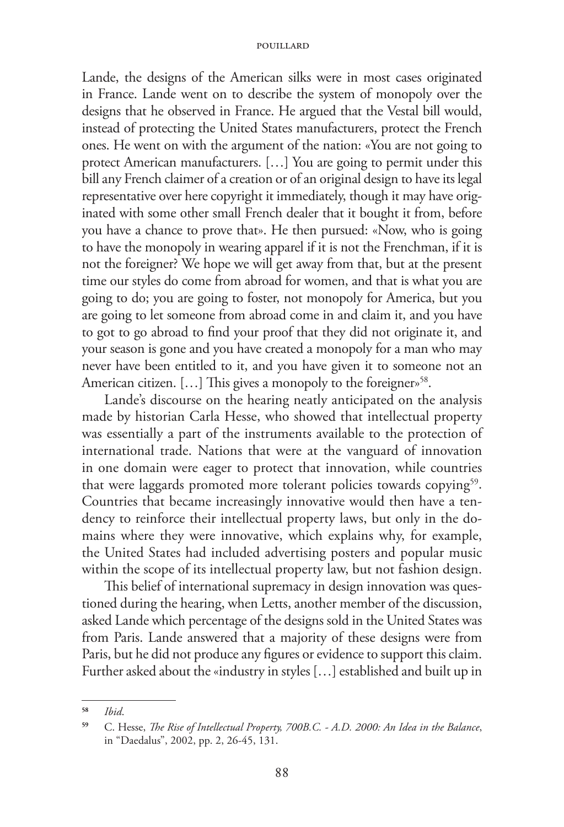Lande, the designs of the American silks were in most cases originated in France. Lande went on to describe the system of monopoly over the designs that he observed in France. He argued that the Vestal bill would, instead of protecting the United States manufacturers, protect the French ones. He went on with the argument of the nation: «You are not going to protect American manufacturers. […] You are going to permit under this bill any French claimer of a creation or of an original design to have its legal representative over here copyright it immediately, though it may have originated with some other small French dealer that it bought it from, before you have a chance to prove that». He then pursued: «Now, who is going to have the monopoly in wearing apparel if it is not the Frenchman, if it is not the foreigner? We hope we will get away from that, but at the present time our styles do come from abroad for women, and that is what you are going to do; you are going to foster, not monopoly for America, but you are going to let someone from abroad come in and claim it, and you have to got to go abroad to find your proof that they did not originate it, and your season is gone and you have created a monopoly for a man who may never have been entitled to it, and you have given it to someone not an American citizen. [...] This gives a monopoly to the foreigner»<sup>58</sup>.

Lande's discourse on the hearing neatly anticipated on the analysis made by historian Carla Hesse, who showed that intellectual property was essentially a part of the instruments available to the protection of international trade. Nations that were at the vanguard of innovation in one domain were eager to protect that innovation, while countries that were laggards promoted more tolerant policies towards copying<sup>59</sup>. Countries that became increasingly innovative would then have a tendency to reinforce their intellectual property laws, but only in the domains where they were innovative, which explains why, for example, the United States had included advertising posters and popular music within the scope of its intellectual property law, but not fashion design.

This belief of international supremacy in design innovation was questioned during the hearing, when Letts, another member of the discussion, asked Lande which percentage of the designs sold in the United States was from Paris. Lande answered that a majority of these designs were from Paris, but he did not produce any figures or evidence to support this claim. Further asked about the «industry in styles […] established and built up in

**<sup>58</sup>** *Ibid*.

**<sup>59</sup>** C. Hesse, *The Rise of Intellectual Property, 700B.C. - A.D. 2000: An Idea in the Balance*, in "Daedalus", 2002, pp. 2, 26-45, 131.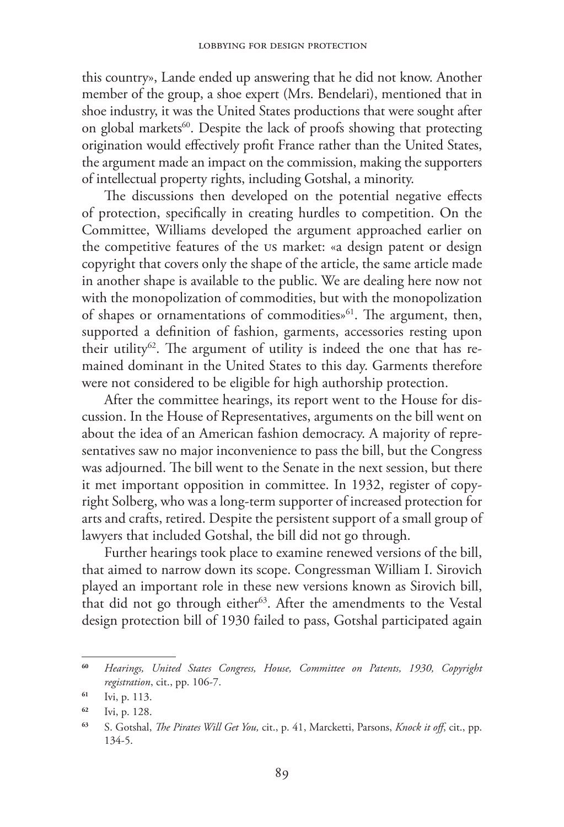this country», Lande ended up answering that he did not know. Another member of the group, a shoe expert (Mrs. Bendelari), mentioned that in shoe industry, it was the United States productions that were sought after on global markets<sup>60</sup>. Despite the lack of proofs showing that protecting origination would effectively profit France rather than the United States, the argument made an impact on the commission, making the supporters of intellectual property rights, including Gotshal, a minority.

The discussions then developed on the potential negative effects of protection, specifically in creating hurdles to competition. On the Committee, Williams developed the argument approached earlier on the competitive features of the US market: «a design patent or design copyright that covers only the shape of the article, the same article made in another shape is available to the public. We are dealing here now not with the monopolization of commodities, but with the monopolization of shapes or ornamentations of commodities»<sup>61</sup>. The argument, then, supported a definition of fashion, garments, accessories resting upon their utility<sup>62</sup>. The argument of utility is indeed the one that has remained dominant in the United States to this day. Garments therefore were not considered to be eligible for high authorship protection.

After the committee hearings, its report went to the House for discussion. In the House of Representatives, arguments on the bill went on about the idea of an American fashion democracy. A majority of representatives saw no major inconvenience to pass the bill, but the Congress was adjourned. The bill went to the Senate in the next session, but there it met important opposition in committee. In 1932, register of copyright Solberg, who was a long-term supporter of increased protection for arts and crafts, retired. Despite the persistent support of a small group of lawyers that included Gotshal, the bill did not go through.

Further hearings took place to examine renewed versions of the bill, that aimed to narrow down its scope. Congressman William I. Sirovich played an important role in these new versions known as Sirovich bill, that did not go through either<sup>63</sup>. After the amendments to the Vestal design protection bill of 1930 failed to pass, Gotshal participated again

**<sup>60</sup>** *Hearings, United States Congress, House, Committee on Patents, 1930, Copyright registration*, cit., pp. 106-7.

**<sup>61</sup>** Ivi, p. 113.

**<sup>62</sup>** Ivi, p. 128.

**<sup>63</sup>** S. Gotshal, *The Pirates Will Get You,* cit., p. 41, Marcketti, Parsons, *Knock it off*, cit., pp. 134-5.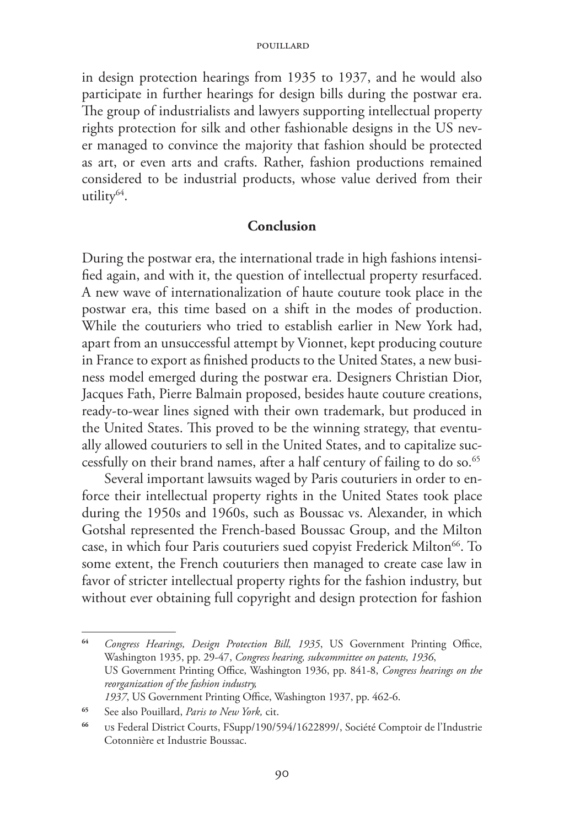in design protection hearings from 1935 to 1937, and he would also participate in further hearings for design bills during the postwar era. The group of industrialists and lawyers supporting intellectual property rights protection for silk and other fashionable designs in the US never managed to convince the majority that fashion should be protected as art, or even arts and crafts. Rather, fashion productions remained considered to be industrial products, whose value derived from their utility<sup>64</sup>.

### **Conclusion**

During the postwar era, the international trade in high fashions intensified again, and with it, the question of intellectual property resurfaced. A new wave of internationalization of haute couture took place in the postwar era, this time based on a shift in the modes of production. While the couturiers who tried to establish earlier in New York had, apart from an unsuccessful attempt by Vionnet, kept producing couture in France to export as finished products to the United States, a new business model emerged during the postwar era. Designers Christian Dior, Jacques Fath, Pierre Balmain proposed, besides haute couture creations, ready-to-wear lines signed with their own trademark, but produced in the United States. This proved to be the winning strategy, that eventually allowed couturiers to sell in the United States, and to capitalize successfully on their brand names, after a half century of failing to do so.<sup>65</sup>

Several important lawsuits waged by Paris couturiers in order to enforce their intellectual property rights in the United States took place during the 1950s and 1960s, such as Boussac vs. Alexander, in which Gotshal represented the French-based Boussac Group, and the Milton case, in which four Paris couturiers sued copyist Frederick Milton<sup>66</sup>. To some extent, the French couturiers then managed to create case law in favor of stricter intellectual property rights for the fashion industry, but without ever obtaining full copyright and design protection for fashion

**<sup>64</sup>** *Congress Hearings, Design Protection Bill, 1935*, US Government Printing Office, Washington 1935, pp. 29-47, *Congress hearing, subcommittee on patents, 1936*, US Government Printing Office, Washington 1936, pp. 841-8, *Congress hearings on the reorganization of the fashion industry, 1937*, US Government Printing Office, Washington 1937, pp. 462-6.

**<sup>65</sup>** See also Pouillard, *Paris to New York,* cit.

**<sup>66</sup>** US Federal District Courts, FSupp/190/594/1622899/, Société Comptoir de l'Industrie Cotonnière et Industrie Boussac.